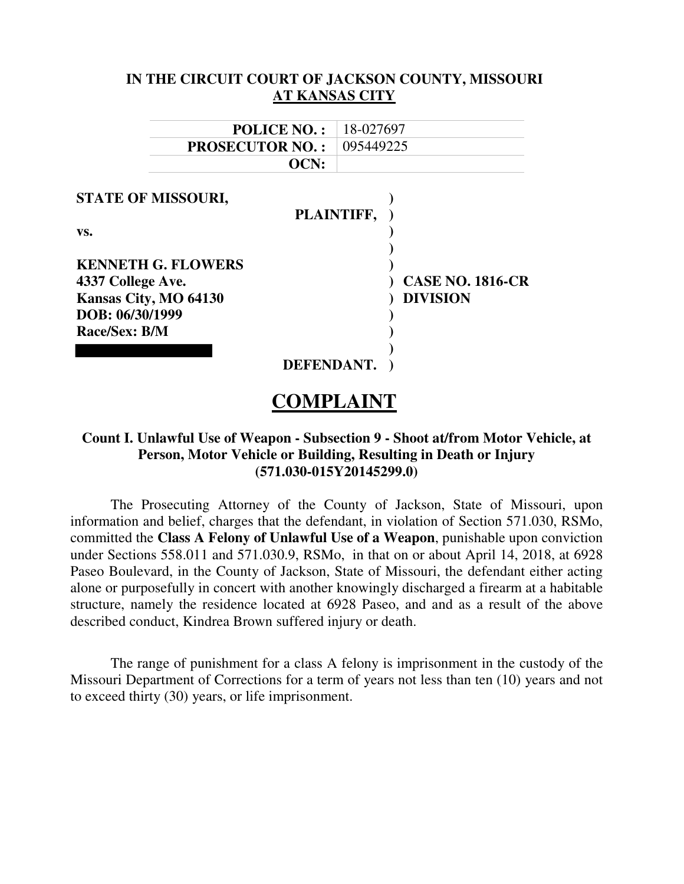| IN THE CIRCUIT COURT OF JACKSON COUNTY, MISSOURI              |                         |  |  |
|---------------------------------------------------------------|-------------------------|--|--|
|                                                               | <b>AT KANSAS CITY</b>   |  |  |
| <b>POLICE NO.:</b>                                            | 18-027697               |  |  |
| <b>PROSECUTOR NO.:</b>                                        | 095449225               |  |  |
| OCN:                                                          |                         |  |  |
| <b>STATE OF MISSOURI,</b><br>VS.<br><b>KENNETH G. FLOWERS</b> | PLAINTIFF,              |  |  |
| 4337 College Ave.                                             | <b>CASE NO. 1816-CR</b> |  |  |
| Kansas City, MO 64130<br>DOB: 06/30/1999<br>Race/Sex: B/M     | <b>DIVISION</b>         |  |  |
| <b>DEFENDANT</b>                                              |                         |  |  |

# **COMPLAINT**

## **Count I. Unlawful Use of Weapon - Subsection 9 - Shoot at/from Motor Vehicle, at Person, Motor Vehicle or Building, Resulting in Death or Injury (571.030-015Y20145299.0)**

The Prosecuting Attorney of the County of Jackson, State of Missouri, upon information and belief, charges that the defendant, in violation of Section 571.030, RSMo, committed the **Class A Felony of Unlawful Use of a Weapon**, punishable upon conviction under Sections 558.011 and 571.030.9, RSMo, in that on or about April 14, 2018, at 6928 Paseo Boulevard, in the County of Jackson, State of Missouri, the defendant either acting alone or purposefully in concert with another knowingly discharged a firearm at a habitable structure, namely the residence located at 6928 Paseo, and and as a result of the above described conduct, Kindrea Brown suffered injury or death.

The range of punishment for a class A felony is imprisonment in the custody of the Missouri Department of Corrections for a term of years not less than ten (10) years and not to exceed thirty (30) years, or life imprisonment.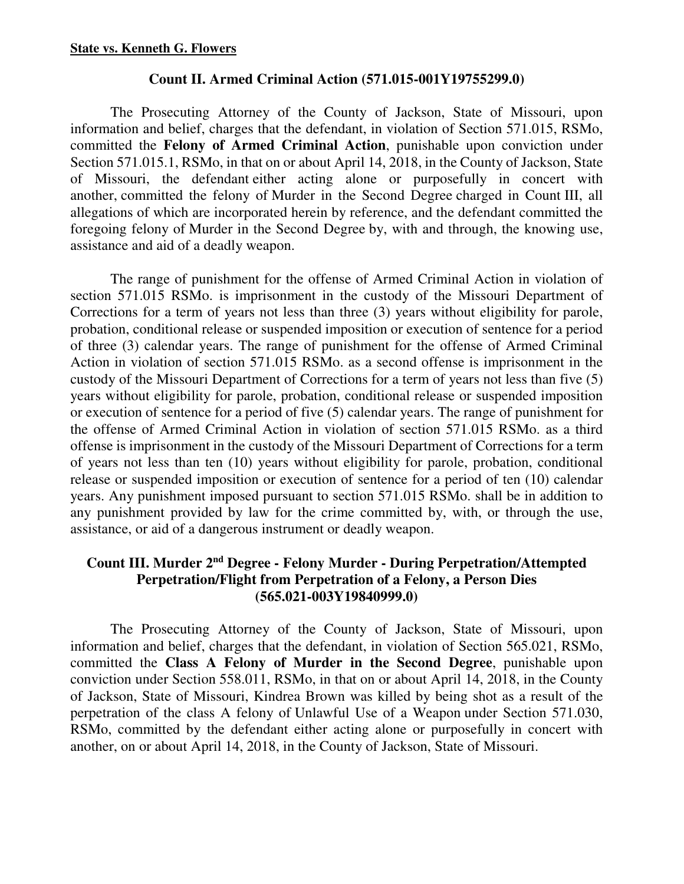## **Count II. Armed Criminal Action (571.015-001Y19755299.0)**

The Prosecuting Attorney of the County of Jackson, State of Missouri, upon information and belief, charges that the defendant, in violation of Section 571.015, RSMo, committed the **Felony of Armed Criminal Action**, punishable upon conviction under Section 571.015.1, RSMo, in that on or about April 14, 2018, in the County of Jackson, State of Missouri, the defendant either acting alone or purposefully in concert with another, committed the felony of Murder in the Second Degree charged in Count III, all allegations of which are incorporated herein by reference, and the defendant committed the foregoing felony of Murder in the Second Degree by, with and through, the knowing use, assistance and aid of a deadly weapon.

The range of punishment for the offense of Armed Criminal Action in violation of section 571.015 RSMo. is imprisonment in the custody of the Missouri Department of Corrections for a term of years not less than three (3) years without eligibility for parole, probation, conditional release or suspended imposition or execution of sentence for a period of three (3) calendar years. The range of punishment for the offense of Armed Criminal Action in violation of section 571.015 RSMo. as a second offense is imprisonment in the custody of the Missouri Department of Corrections for a term of years not less than five (5) years without eligibility for parole, probation, conditional release or suspended imposition or execution of sentence for a period of five (5) calendar years. The range of punishment for the offense of Armed Criminal Action in violation of section 571.015 RSMo. as a third offense is imprisonment in the custody of the Missouri Department of Corrections for a term of years not less than ten (10) years without eligibility for parole, probation, conditional release or suspended imposition or execution of sentence for a period of ten (10) calendar years. Any punishment imposed pursuant to section 571.015 RSMo. shall be in addition to any punishment provided by law for the crime committed by, with, or through the use, assistance, or aid of a dangerous instrument or deadly weapon.

## **Count III. Murder 2nd Degree - Felony Murder - During Perpetration/Attempted Perpetration/Flight from Perpetration of a Felony, a Person Dies (565.021-003Y19840999.0)**

The Prosecuting Attorney of the County of Jackson, State of Missouri, upon information and belief, charges that the defendant, in violation of Section 565.021, RSMo, committed the **Class A Felony of Murder in the Second Degree**, punishable upon conviction under Section 558.011, RSMo, in that on or about April 14, 2018, in the County of Jackson, State of Missouri, Kindrea Brown was killed by being shot as a result of the perpetration of the class A felony of Unlawful Use of a Weapon under Section 571.030, RSMo, committed by the defendant either acting alone or purposefully in concert with another, on or about April 14, 2018, in the County of Jackson, State of Missouri.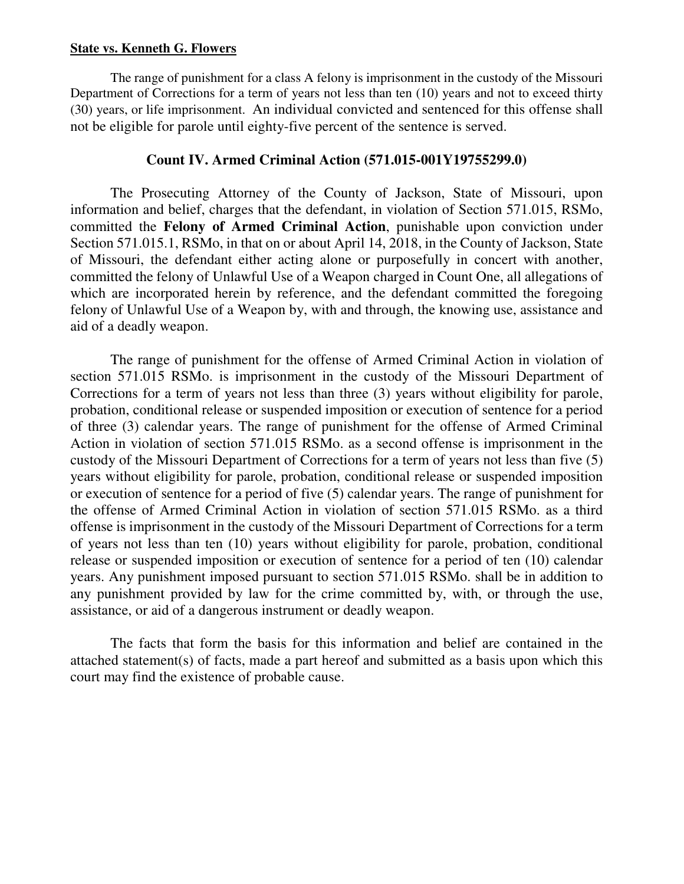#### **State vs. Kenneth G. Flowers**

The range of punishment for a class A felony is imprisonment in the custody of the Missouri Department of Corrections for a term of years not less than ten (10) years and not to exceed thirty (30) years, or life imprisonment. An individual convicted and sentenced for this offense shall not be eligible for parole until eighty-five percent of the sentence is served.

## **Count IV. Armed Criminal Action (571.015-001Y19755299.0)**

The Prosecuting Attorney of the County of Jackson, State of Missouri, upon information and belief, charges that the defendant, in violation of Section 571.015, RSMo, committed the **Felony of Armed Criminal Action**, punishable upon conviction under Section 571.015.1, RSMo, in that on or about April 14, 2018, in the County of Jackson, State of Missouri, the defendant either acting alone or purposefully in concert with another, committed the felony of Unlawful Use of a Weapon charged in Count One, all allegations of which are incorporated herein by reference, and the defendant committed the foregoing felony of Unlawful Use of a Weapon by, with and through, the knowing use, assistance and aid of a deadly weapon.

The range of punishment for the offense of Armed Criminal Action in violation of section 571.015 RSMo. is imprisonment in the custody of the Missouri Department of Corrections for a term of years not less than three (3) years without eligibility for parole, probation, conditional release or suspended imposition or execution of sentence for a period of three (3) calendar years. The range of punishment for the offense of Armed Criminal Action in violation of section 571.015 RSMo. as a second offense is imprisonment in the custody of the Missouri Department of Corrections for a term of years not less than five (5) years without eligibility for parole, probation, conditional release or suspended imposition or execution of sentence for a period of five (5) calendar years. The range of punishment for the offense of Armed Criminal Action in violation of section 571.015 RSMo. as a third offense is imprisonment in the custody of the Missouri Department of Corrections for a term of years not less than ten (10) years without eligibility for parole, probation, conditional release or suspended imposition or execution of sentence for a period of ten (10) calendar years. Any punishment imposed pursuant to section 571.015 RSMo. shall be in addition to any punishment provided by law for the crime committed by, with, or through the use, assistance, or aid of a dangerous instrument or deadly weapon.

The facts that form the basis for this information and belief are contained in the attached statement(s) of facts, made a part hereof and submitted as a basis upon which this court may find the existence of probable cause.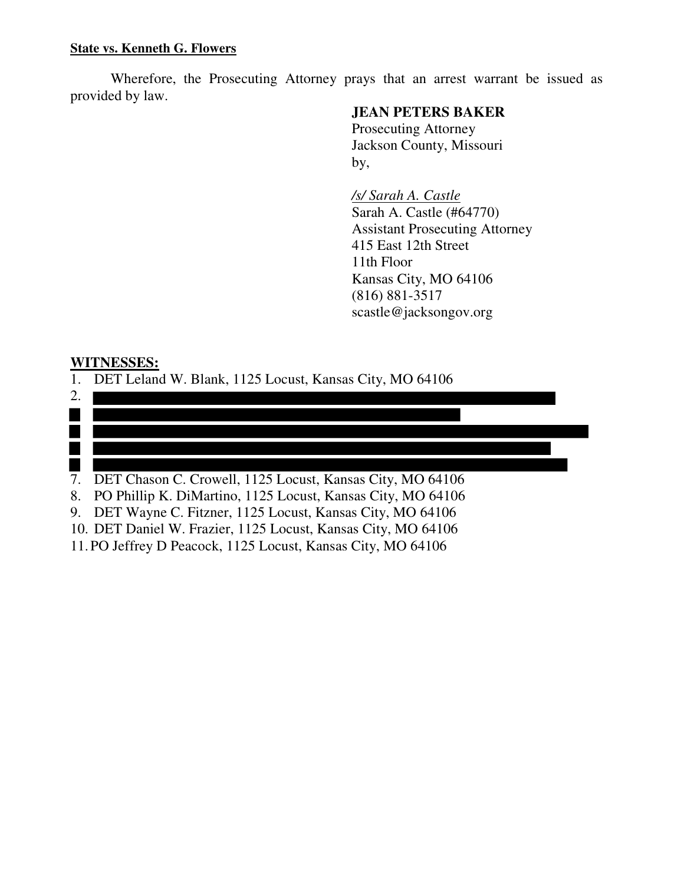Wherefore, the Prosecuting Attorney prays that an arrest warrant be issued as provided by law.

## **JEAN PETERS BAKER**

 Prosecuting Attorney Jackson County, Missouri by,

> */s/ Sarah A. Castle*  Sarah A. Castle (#64770) Assistant Prosecuting Attorney 415 East 12th Street 11th Floor Kansas City, MO 64106 (816) 881-3517 scastle@jacksongov.org

## **WITNESSES:**

1. DET Leland W. Blank, 1125 Locust, Kansas City, MO 64106

| 2. |                                                               |
|----|---------------------------------------------------------------|
|    |                                                               |
|    |                                                               |
|    |                                                               |
|    |                                                               |
|    | 7. DET Chason C. Crowell, 1125 Locust, Kansas City, MO 64106  |
| 8. | PO Phillip K. DiMartino, 1125 Locust, Kansas City, MO 64106   |
|    | 9. DET Wayne C. Fitzner, 1125 Locust, Kansas City, MO 64106   |
|    | 10. DET Daniel W. Frazier, 1125 Locust, Kansas City, MO 64106 |

11. PO Jeffrey D Peacock, 1125 Locust, Kansas City, MO 64106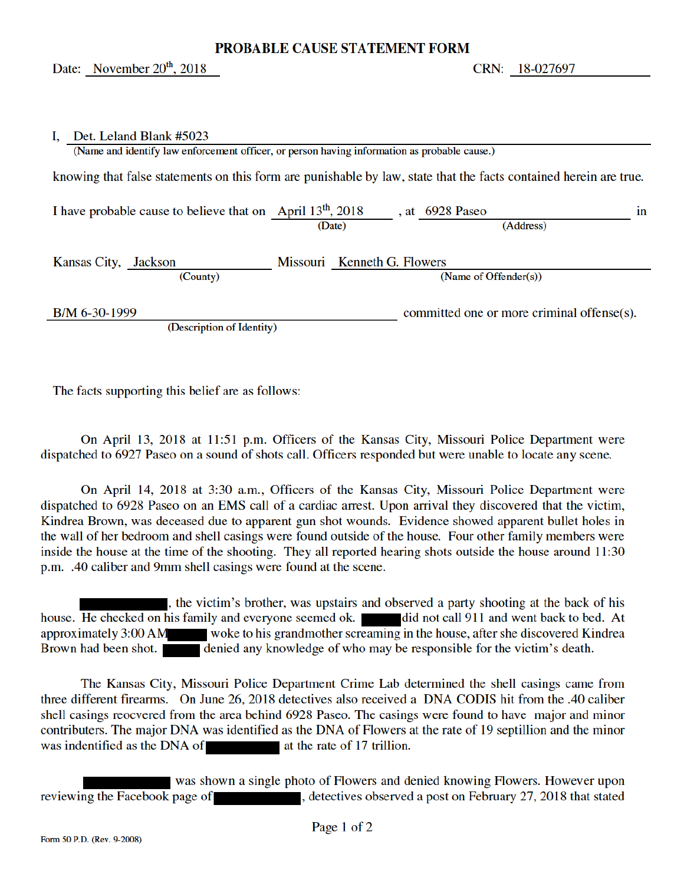#### **PROBABLE CAUSE STATEMENT FORM**

#### Det. Leland Blank #5023 L.

| (Name and identify law enforcement officer, or person having information as probable cause.)                      |        |                             |  |                                            |  |
|-------------------------------------------------------------------------------------------------------------------|--------|-----------------------------|--|--------------------------------------------|--|
| knowing that false statements on this form are punishable by law, state that the facts contained herein are true. |        |                             |  |                                            |  |
| I have probable cause to believe that on April $13th$ , 2018                                                      | (Date) |                             |  | , at $6928$ Paseo<br>in<br>(Address)       |  |
| Kansas City, Jackson<br>(County)                                                                                  |        | Missouri Kenneth G. Flowers |  | (Name of Offender $(s)$ )                  |  |
| B/M 6-30-1999<br>(Description of Identity)                                                                        |        |                             |  | committed one or more criminal offense(s). |  |

The facts supporting this belief are as follows:

On April 13, 2018 at 11:51 p.m. Officers of the Kansas City, Missouri Police Department were dispatched to 6927 Paseo on a sound of shots call. Officers responded but were unable to locate any scene.

On April 14, 2018 at 3:30 a.m., Officers of the Kansas City, Missouri Police Department were dispatched to 6928 Paseo on an EMS call of a cardiac arrest. Upon arrival they discovered that the victim, Kindrea Brown, was deceased due to apparent gun shot wounds. Evidence showed apparent bullet holes in the wall of her bedroom and shell casings were found outside of the house. Four other family members were inside the house at the time of the shooting. They all reported hearing shots outside the house around 11:30 p.m. .40 caliber and 9mm shell casings were found at the scene.

, the victim's brother, was upstairs and observed a party shooting at the back of his house. He checked on his family and everyone seemed ok. did not call 911 and went back to bed. At approximately 3:00 AM woke to his grandmother screaming in the house, after she discovered Kindrea Brown had been shot. denied any knowledge of who may be responsible for the victim's death.

The Kansas City, Missouri Police Department Crime Lab determined the shell casings came from three different firearms. On June 26, 2018 detectives also received a DNA CODIS hit from the .40 caliber shell casings reocvered from the area behind 6928 Paseo. The casings were found to have major and minor contributers. The major DNA was identified as the DNA of Flowers at the rate of 19 septillion and the minor was indentified as the DNA of at the rate of 17 trillion.

was shown a single photo of Flowers and denied knowing Flowers. However upon reviewing the Facebook page of the state of the state of the state of the state of the state of the state of the state of the state of the state of the state of the state of the state of the state of the state of the state